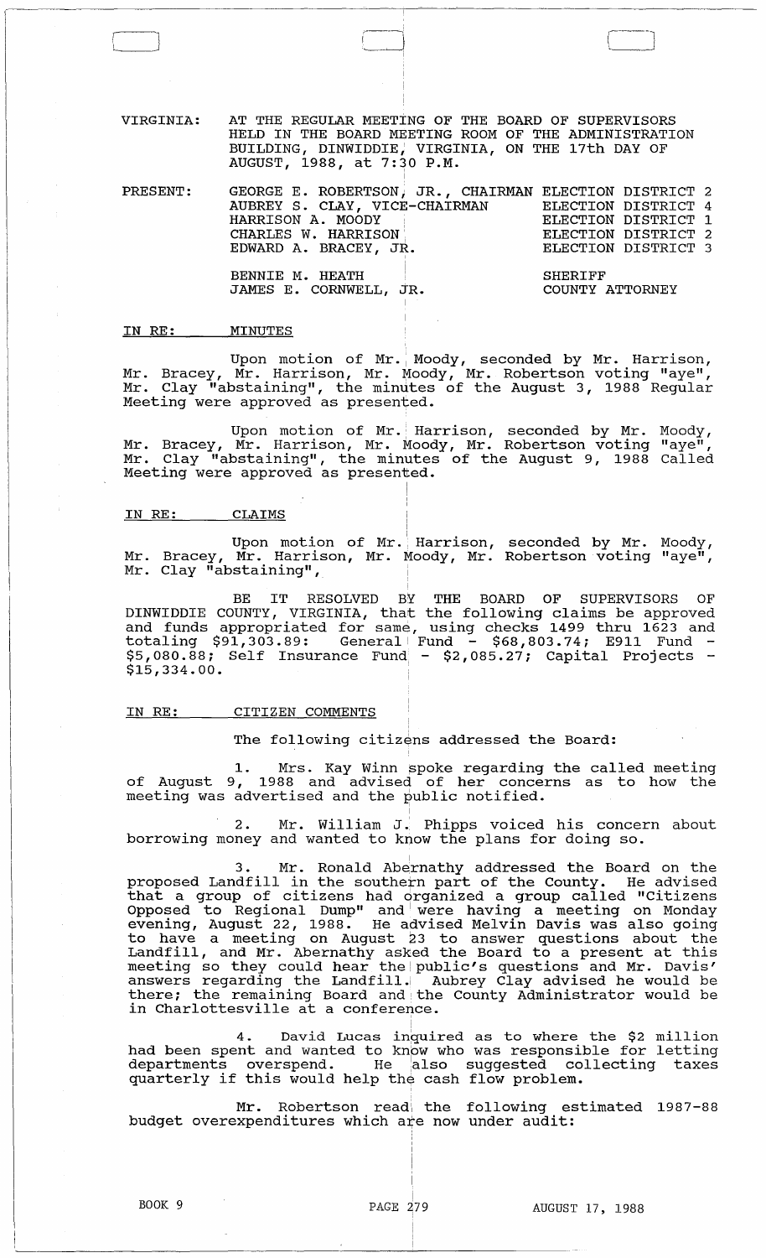VIRGINIA: AT THE REGULAR MEETING OF THE BOARD OF SUPERVISORS HELD IN THE BOARD MEETING ROOM OF THE ADMINISTRATION BUILDING, DINWIDDIE; VIRGINIA, ON THE 17th DAY OF AUGUST, 1988, at 7:30 P.M. ,

| PRESENT: | GEORGE E. ROBERTSON, JR., CHAIRMAN ELECTION DISTRICT 2<br>AUBREY S. CLAY, VICE-CHAIRMAN<br>HARRISON A. MOODY<br>CHARLES W. HARRISON | ELECTION DISTRICT 4<br>ELECTION DISTRICT 1<br>ELECTION DISTRICT 2 |
|----------|-------------------------------------------------------------------------------------------------------------------------------------|-------------------------------------------------------------------|
|          | EDWARD A. BRACEY, JR.                                                                                                               | ELECTION DISTRICT 3                                               |
|          | BENNIE M. HEATH<br>JAMES E. CORNWELL, JR.                                                                                           | SHERIFF<br>COUNTY ATTORNEY                                        |

#### IN RE: MINUTES

C\_J

Upon motion of Mr. Moody, seconded by Mr. Harrison, Mr. Bracey, Mr. Harrison, Mr. Moody, Mr. Robertson voting "aye", Mr. Clay "abstaining", the minutes of the August 3, 1988 Regular Meeting were approved as presented.

Upon motion of Mr. Harrison, seconded by Mr. Moody, Mr. Bracey, Mr. Harrison, Mr. Moody, Mr. Robertson voting "aye", Mr. Clay "abstaining", the minutes of the August 9, 1988 Called Meeting were approved as presented.

### IN RE: CLAIMS

Upon motion of Mr. Harrison, seconded by Mr. Moody, Mr. Bracey, Mr. Harrison, Mr. Moody, Mr. Robertson voting "aye", Mr. Clay "abstaining",

BE IT RESOLVED BY THE BOARD OF SUPERVISORS OF DINWIDDIE COUNTY, VIRGINIA, that the following claims be approved and funds appropriated for same, using checks 1499 thru 1623 and totaling \$91,303.89: General Fund - \$68,803.74; E911 Fund - \$5,080.88; Self Insurance Fund - \$2,085.27; Capital Projects - \$15,334.00.

#### IN RE: CITIZEN COMMENTS

The following citizens addressed the Board:

1. Mrs. Kay Winn spoke regarding the called meeting of August 9, 1988 and advised of her concerns as to how the meeting was advertised and the public notified.

2. Mr. William J.' Phipps voiced his concern about borrowing money and wanted to know the plans for doing so.

i

3. Mr. Ronald Abernathy addressed the Board on the proposed Landfill in the southern part of the County. He advised that a group of citizens had organized a group called "Citizens Opposed to Regional Dump" and I were having a meeting on Monday evening, August 22, 1988. He advised Melvin Davis was also going to have a meeting on August 23 to answer questions about the Landfill, and Mr. Abernathy asked the Board to a present at this matrix, and in the ending asked the Board to a present at this meeting so they could hear the public's questions and Mr. Davis' answers regarding the Landfill. Aubrey Clay advised he would be there; the remaining Board and the County Administrator would be encre, the remaining board and the

David Lucas inquired as to where the \$2 million had been spent and wanted to know who was responsible for letting departments overspend. He also suggested collecting taxes departments overspend. He also suggested compartments overspend. He also suggested comparterly if this would help the cash flow problem.

Mr. Robertson read the following estimated 1987-88 budget overexpenditures which are now under audit: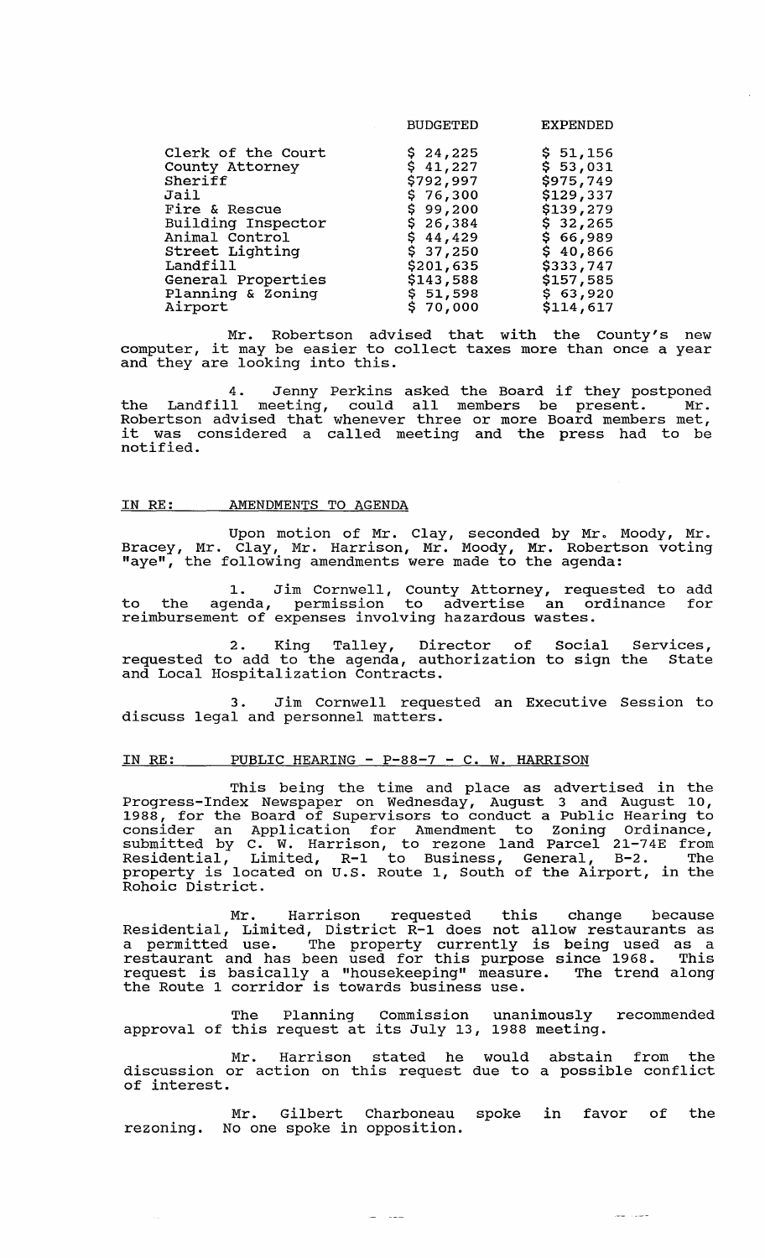|                    | <b>BUDGETED</b> | <b>EXPENDED</b> |
|--------------------|-----------------|-----------------|
| Clerk of the Court | \$24,225        | \$51,156        |
| County Attorney    | \$41,227        | \$53,031        |
| Sheriff            | \$792,997       | \$975,749       |
| Jail               | \$76,300        | \$129,337       |
| Fire & Rescue      | \$99,200        | \$139,279       |
| Building Inspector | \$26,384        | \$32,265        |
| Animal Control     | \$44,429        | \$66,989        |
| Street Lighting    | \$37,250        | \$40,866        |
| Landfill           | \$201,635       | \$333,747       |
| General Properties | \$143,588       | \$157,585       |
| Planning & Zoning  | \$51,598        | \$63,920        |
| Airport            | \$70,000        | \$114,617       |

Mr. Robertson advised that with the County's new<br>computer, it may be easier to collect taxes more than once a year and they are looking into this.

4. Jenny Perkins asked the Board if they postponed the Landfill meeting, could all members be present. Mr. Robertson advised that whenever three or more Board members met, it was considered a called meeting and the press had to be notified.

#### IN RE: AMENDMENTS TO AGENDA

Upon motion of Mr. Clay, seconded by Mr. Moody, Mr. Bracey, Mr. Clay, Mr. Harrison, Mr. Moody, Mr. Robertson voting "aye", the following amendments were made to the agenda:

1. Jim Cornwell, County Attorney, requested to add to the agenda, permission to advertise an ordinance for reimbursement of expenses involving hazardous wastes.

2. King Talley, Director of Social Services, requested to add to the agenda, authorization to sign the State and Local Hospitalization Contracts.

Jim Cornwell requested an Executive Session to discuss legal and personnel matters.

## IN RE: PUBLIC HEARING - P-88-7 - C. W. HARRISON

This being the time and place as advertised in the Progress-Index Newspaper on Wednesday, August 3 and August 10, 1988, for the Board of supervisors to conduct a Public Hearing to consider an Application for Amendment to Zoning Ordinance, submitted by C. W. Harrison, to rezone land Parcel 21-74E from Residential, Limited, R-l to Business, General, B-2. The Residencial, Infirited, R-1 to Business, General, B-2. The<br>property is located on U.S. Route 1, South of the Airport, in the Rohoic District.

Mr. Harrison requested this change because Residential, Limited, District R-l does not allow restaurants as desidential, finaled, bistrict  $\kappa$  i does not affor restaurants as a permitted use. The property currently is being used as a restaurant and has been used for this purpose since 1968. This request is basically a "housekeeping" measure. The trend along the Route 1 corridor is towards business use.

The Planning Commission unanimously recommended approval of this request at its July 13, 1988 meeting.

Mr. Harrison stated he would abstain from the discussion or action on this request due to a possible conflict of interest.

Mr. Gilbert Charboneau spoke in favor of the rezoning. No one spoke in opposition.

سيبيان سيا

يتباين السا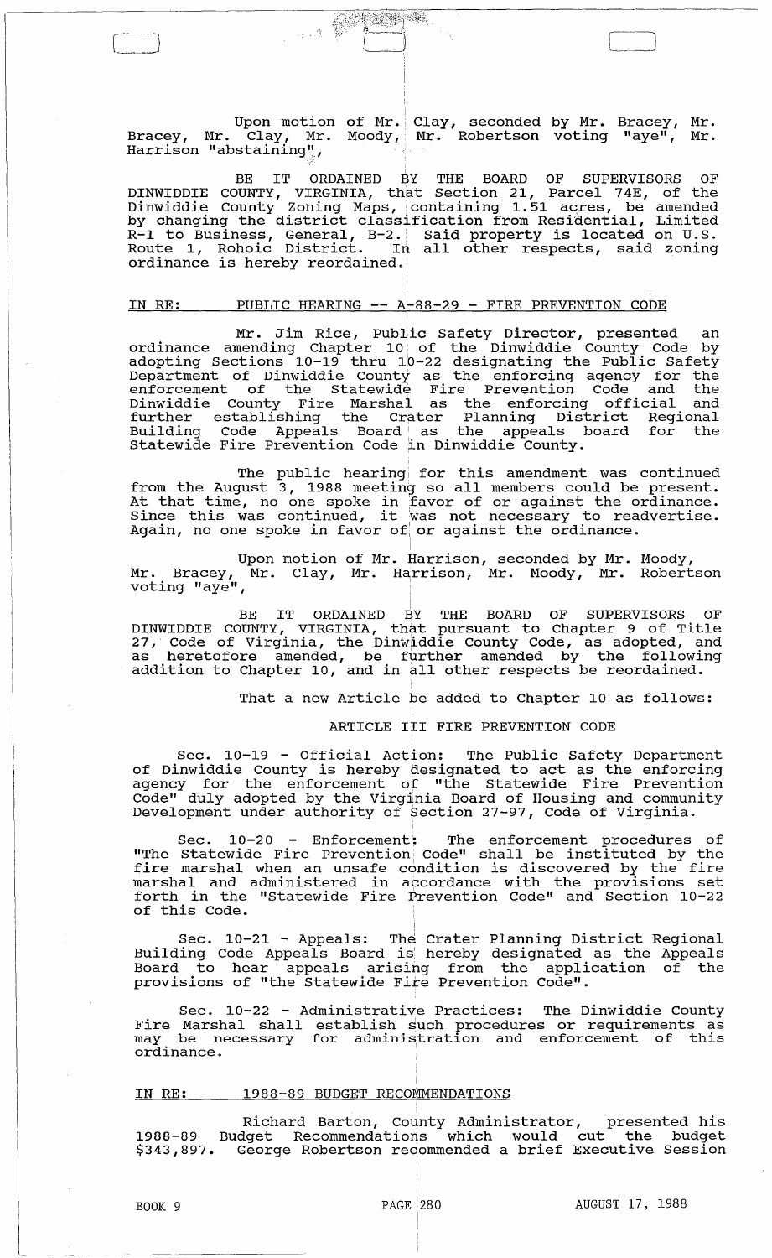Upon motion Bracey, Mr. Clay, Mr. Bracey, Mr. Clay, Mr<br>Harrison "abstaining", of Mr. Clay, seconded by Mr. Bracey, Mr. Moody,· Mr. Robertson voting "aye", Mr.

<u>Para Ba</u>

 $\hat{\phi}$  ,  $\hat{\Phi}$ 

BE IT ORDAINED BY THE BOARD OF SUPERVISORS OF DINWIDDIE COUNTY, VIRGINIA, that Section 21, Parcel 74E, of the Dinwiddie County Zoning Maps, containing 1.51 acres, be amended binwiddle Codney Boning haps, concaining 1.51 doles, be dmended<br>by changing the district classification from Residential, Limited R-1 to Business, General, B-2. Said property is located on U.S. Rel to Business, General, B 2. Said property is focated on 8.5.<br>Route 1, Rohoic District. In all other respects, said zoning ordinance is hereby reordained.

# <u>IN RE: PUBLIC HEARING -- A-88-29 - FIRE PREVENTION CODE</u>

Mr. Jim Rice, Public Safety Director, presented an ordinance amending Chapter 10. of the Dinwiddie County Code by adopting Sections 10-19 thru 10-22 designating the Public Safety Department of Dinwiddie County as the enforcing agency for the enforcement of the statewide Fire Prevention Code and the Dinwiddie County Fire Marshal as the enforcing official and further establishing the Crater Planning District Regional adding Code Appeals Board as the appeals board for the Statewide Fire Prevention Code ln Dinwiddie County.

The public hearing for this amendment was continued from the August 3, 1988 meeting so all members could be present. It that time, no one spoke in favor of or against the ordinance.<br>Since this was continued, it was not necessary to readvertise. Again, no one spoke in favor of or against the ordinance.

Upon motion of Mr.  $\stackrel{\text{!}}{I}$ Mr. Bracey, Mr. Clay, voting "aye", of Mr. Harrison, seconded by Mr. Moody, Mr. Harrison, Mr. Moody, Mr. Robertson

! BE IT ORDAINED BY THE BOARD OF SUPERVISORS OF DINWIDDIE COUNTY, VIRGINIA, that pursuant to Chapter 9 of Title 27, Code of Virginia, the Dinwiddie County Code, as adopted, and as heretofore amended, be further amended by the following as herecorore amended, be rufther amended by the forfowly

That a new Article be added to Chapter 10 as follows:

### ARTICLE III FIRE PREVENTION CODE

Sec. 10-19 - Official Action: The Public Safety Department of Dinwiddie County is hereby designated to act as the enforcing agency for the enforcement *ot* "the Statewide Fire Prevention Code" duly adopted by the Virginia Board of Housing and community Development under authority of section 27-97, Code of Virginia.

Sec. 10-20 - Enforcement: The enforcement procedures of "The Statewide Fire Prevention; Code" shall be instituted by the The scatewide rile Plevention code Shail be instituted by the fire<br>fire marshal when an unsafe condition is discovered by the fire marshal and administered in accordance with the provisions set forth in the "statewide Fire Prevention Code" and section 10-22 of this Code.

Sec. 10-21 - Appeals: The Crater Planning District Regional Building Code Appeals Board is' hereby designated as the Appeals Board to hear appeals arising from the application of the provisions of "the Statewide Fire Prevention Code".

Sec. 10-22 - Administrative Practices: The Dinwiddie County Fire Marshal shall establish such procedures or requirements as File maishal shall establish such procedules of lequilements as<br>may be necessary for administration and enforcement of this<br>ordinance.

> , I

### IN RE: 1988-89 BUDGET RECOMMENDATIONS

Richard Barton, County Administrator, presented his 1988-89 Budget Recommendations which would cut the budget \$343,897. George Robertson recommended a brief Executive Session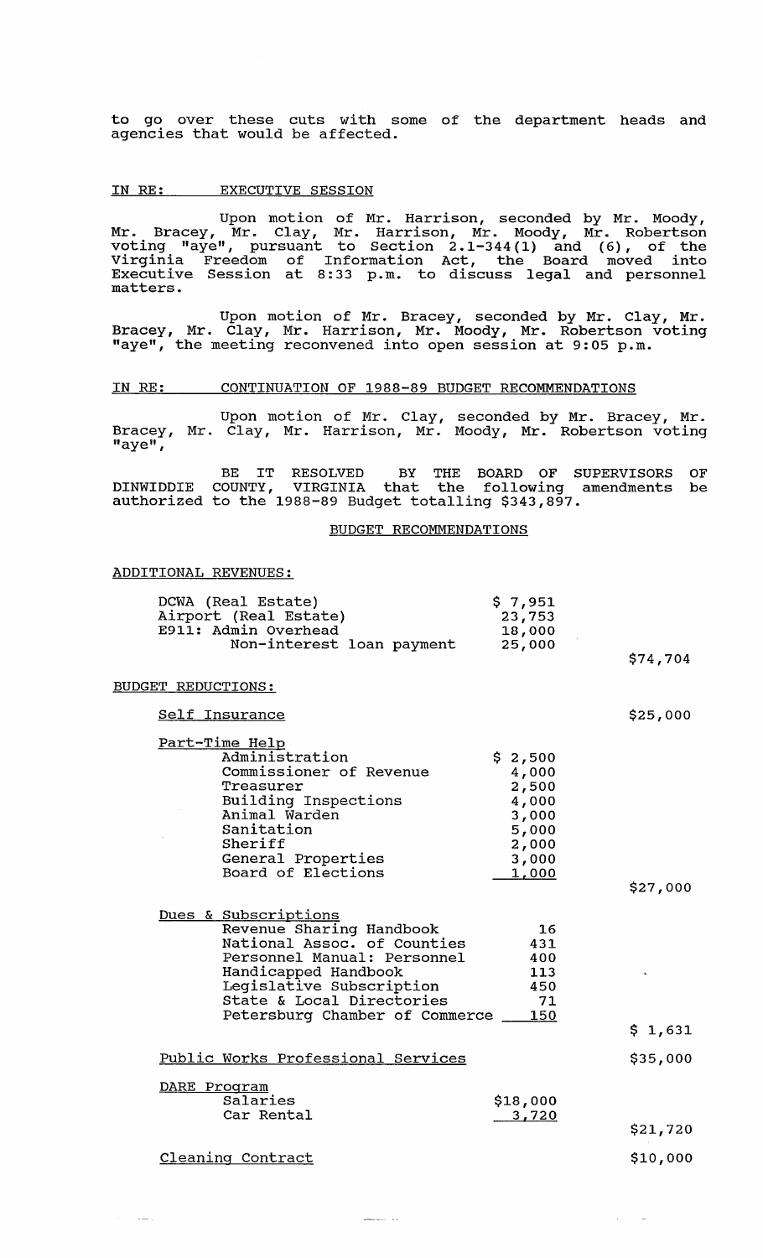to go over these cuts with some of the department heads and co go over enese bacs with Swagencies that would be affected.

### IN RE: EXECUTIVE SESSION

Upon motion of Mr. Harrison, seconded by Mr. Moody, Mr. Bracey, Mr. Clay, Mr. Harrison, Mr. Moody, Mr. Robertson voting "aye", pursuant to section 2 .1-344 (1) and (6), of the Virginia Freedom of Information Act, the Board moved into Executive Session at 8: 33 p.m. to discuss legal and personnel matters.

Upon motion of Mr. Bracey, seconded by Mr. Clay, Mr. Bracey, Mr. Clay, Mr. Harrison, Mr. Moody, Mr. Robertson voting may provide the meeting reconvened into open session at 9:05 p.m.

#### IN RE: CONTINUATION OF 1988-89 BUDGET RECOMMENDATIONS

Upon motion of Mr. Clay, seconded by Mr. Bracey, Mr. Bracey, Mr. Clay, Mr. Harrison, Mr. Moody, Mr. Robertson voting "aye",

BE IT RESOLVED BY THE BOARD OF SUPERVISORS OF DINWIDDIE COUNTY, VIRGINIA that the following amendments be authorized to the 1988-89 Budget totalling \$343,897.

#### BUDGET RECOMMENDATIONS

\$74,704

\$25,000

 $\mathcal{A}^{\pm}$  $\sim 100$ 

### ADDITIONAL REVENUES:

| DCWA (Real Estate)        | \$7,951 |
|---------------------------|---------|
| Airport (Real Estate)     | 23,753  |
| E911: Admin Overhead      | 18,000  |
| Non-interest loan payment | 25,000  |

#### BUDGET REDUCTIONS:

 $\sim$  and  $\sim$ 

Self Insurance

| Part-Time Help                     |         |          |
|------------------------------------|---------|----------|
| Administration                     | \$2,500 |          |
| Commissioner of Revenue            | 4,000   |          |
| Treasurer                          | 2,500   |          |
| Building Inspections               | 4,000   |          |
| Animal Warden                      | 3,000   |          |
| Sanitation                         | 5,000   |          |
| Sheriff                            | 2,000   |          |
| General Properties                 | 3,000   |          |
| Board of Elections                 | 1,000   |          |
|                                    |         | \$27,000 |
|                                    |         |          |
| Dues & Subscriptions               |         |          |
| Revenue Sharing Handbook           | 16      |          |
| National Assoc. of Counties        | 431     |          |
| Personnel Manual: Personnel        | 400     |          |
| Handicapped Handbook               | 113     |          |
| Legislative Subscription           | 450     |          |
| State & Local Directories          | 71      |          |
| Petersburg Chamber of Commerce 150 |         |          |
|                                    |         | \$1,631  |
|                                    |         |          |
| Public Works Professional Services |         | \$35,000 |
| DARE Program                       |         |          |

| Salaries<br>Car Rental | \$18,000<br>3,720 |          |
|------------------------|-------------------|----------|
|                        |                   | \$21,720 |
| Cleaning Contract      |                   | \$10,000 |

<u>\_\_\_</u>\_\_\_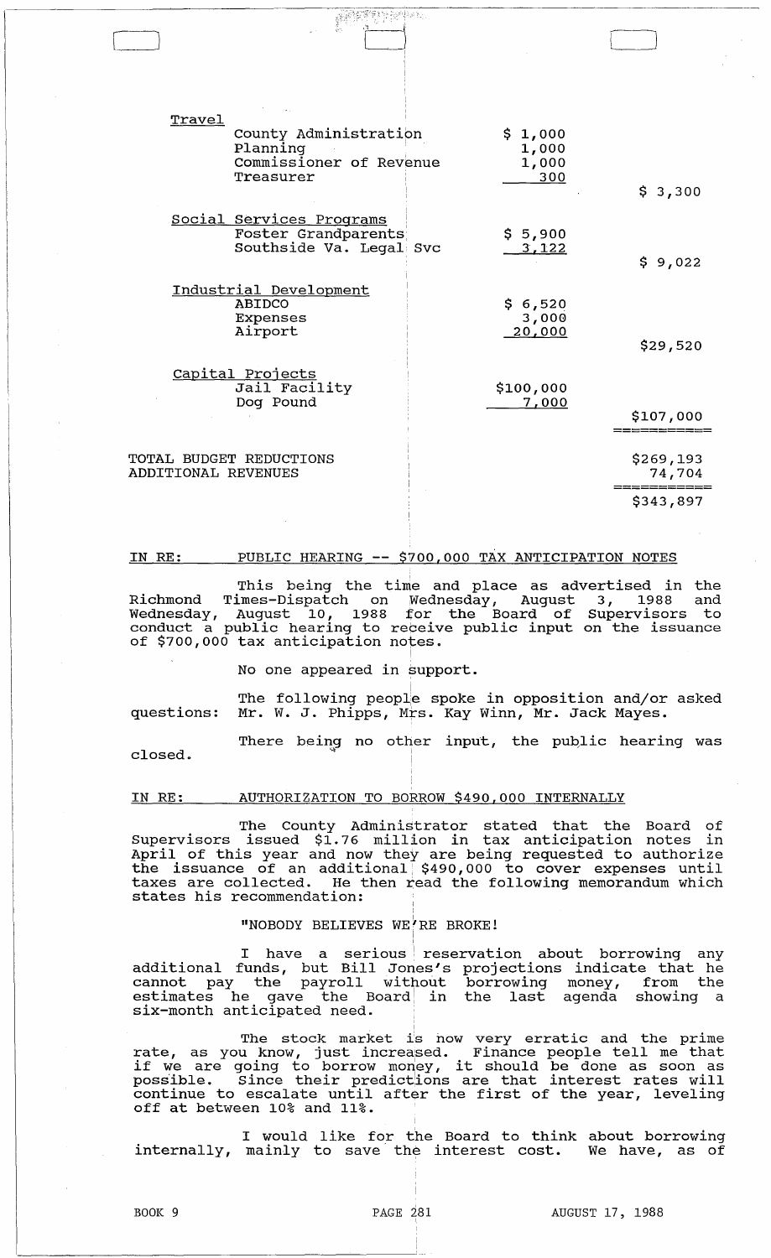| Travel<br>County Administration<br>Planning<br>Commissioner of Revenue<br>Treasurer | \$1,000<br>1,000<br>1,000<br>300 | \$3,300             |
|-------------------------------------------------------------------------------------|----------------------------------|---------------------|
| Social Services Programs<br>Foster Grandparents<br>Southside Va. Legal Svc          | \$5,900<br>3,122                 | \$9,022             |
| Industrial Development<br>ABIDCO<br>Expenses<br>Airport                             | \$6,520<br>3,000<br>20,000       | \$29,520            |
| Capital Projects<br>Jail Facility<br>Dog Pound                                      | \$100,000<br>7,000               | \$107,000           |
| TOTAL BUDGET REDUCTIONS<br>ADDITIONAL REVENUES                                      |                                  | \$269,193<br>74,704 |
|                                                                                     |                                  | \$343,897           |

.:::::::

#### IN RE: PUBLIC HEARING **--** \$700,000 TAX ANTICIPATION NOTES

This being the time and place as advertised in the Richmond Times-Dispatch on Wednesday, August 3, 1988 and Wednesday, August 10, 1988 for the Board of Supervisors to conduct a public hearing to regeive public input on the issuance of \$700,000 tax anticipation notes.

No one appeared in support.

The following peopl $\mathsf e$  spoke in opposition and/or asked questions: Mr. W. J. Phipps, Mrs. Kay winn, Mr. Jack Mayes.

There being no other input, the public hearing was

closed.

#### IN RE: AUTHORIZATION TO BORROW \$490,000 INTERNALLY

The County Administrator stated that the Board of Supervisors issued \$1.76 million in tax anticipation notes in April of this year and now they are being requested to authorize the issuance of an additional, \$490,000 to cover expenses until taxes are collected. He then read the following memorandum which states his recommendation:

## "NOBODY BELIEVES WE'RE BROKE!

I have a serious reservation about borrowing any<br>additional funds, but Bill Jones's projections indicate that he<br>cannot pay the payroll without borrowing money, from the<br>estimates he gave the Board in the last agenda showi

The stock market is now very erratic and the prime<br>rate, as you know, just increased. Finance people tell me that<br>if we are going to borrow money, it should be done as soon as<br>possible. Since their predictions are that int off at between 10% and 11%.

I would like for the Board to think about borrowing<br>mainly to save the interest cost. We have, as of internally, mainly to save the interest cost.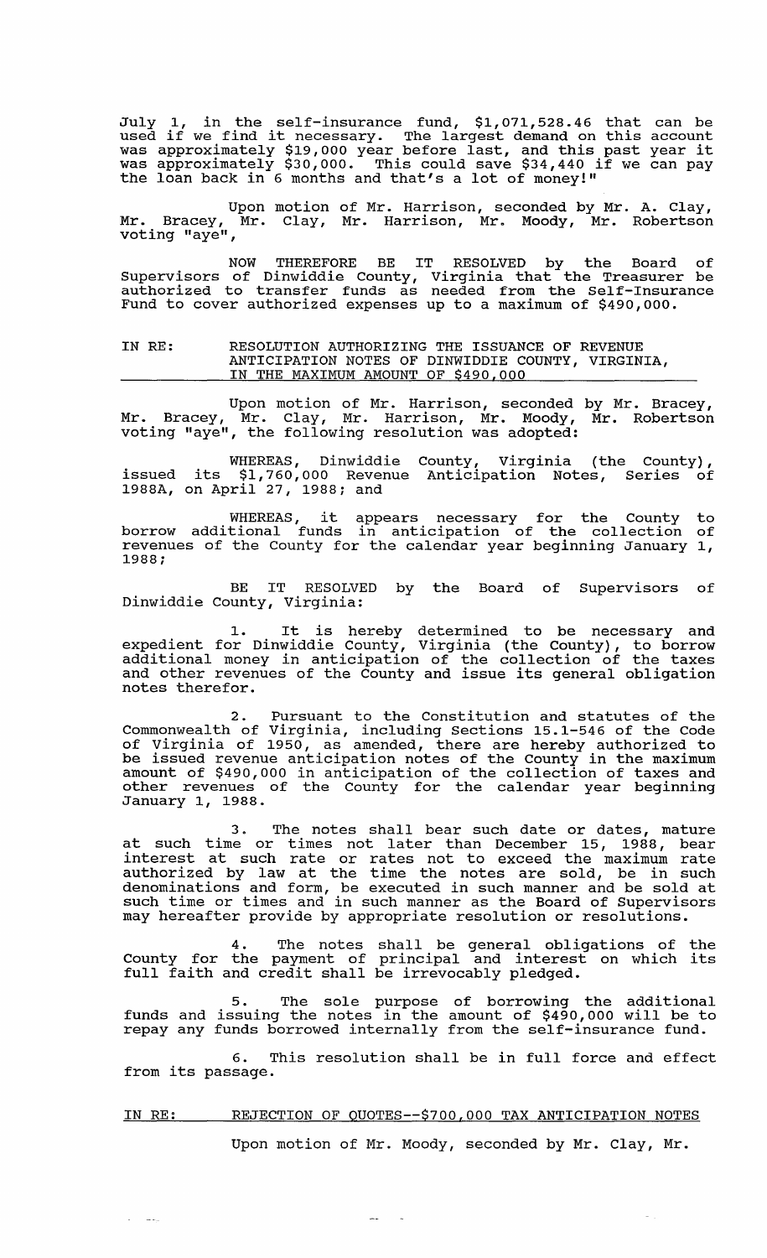July 1, in the self-insurance fund, \$1,071,528.46 that can be used if we find it necessary. The largest demand on this account used if we find it necessary. The largest demand on this account<br>was approximately \$19,000 year before last, and this past year it was approximately \$19,000 year before last, and this past year it<br>was approximately \$30,000. This could save \$34,440 if we can pay the loan back in 6 months and that's a lot of money!"

Upon motion of Mr. Harrison, seconded by Mr. A. Clay, Mr. Bracey, Mr. Clay, Mr. Harrison, Mr. Moody, Mr. Robertson voting "aye",

NOW THEREFORE BE IT RESOLVED by the Board of Supervisors of Dinwiddie County, Virginia that the Treasurer be authorized to transfer funds as needed from the Self-Insurance Fund to cover authorized expenses up to a maximum of \$490,000.

IN RE: RESOLUTION AUTHORIZING THE ISSUANCE OF REVENUE ANTICIPATION NOTES OF DINWIDDIE COUNTY, VIRGINIA, IN THE MAXIMUM AMOUNT OF \$490,000

Upon motion of Mr. Harrison, seconded by Mr. Bracey, Mr. Bracey, Mr. Clay, Mr. Harrison, Mr. Moody, Mr. Robertson voting "aye", the following resolution was adopted:

WHEREAS, Dinwiddie County, Virginia (the County), issued its \$1,760,000 Revenue Anticipation Notes, Series of 1988A, on April 27, 1988; and

WHEREAS, it appears necessary for the County to borrow additional funds in anticipation of the collection of revenues of the County for the calendar year beginning January 1, 1988;

BE IT RESOLVED by the Board of Supervisors of Dinwiddie County, Virginia:

1. It is hereby determined to be necessary and expedient for Dinwiddie County, Virginia (the county), to borrow additional money in anticipation of the collection of the taxes and other revenues of the County and issue its general obligation notes therefor.

2. Pursuant to the Constitution and statutes of the Commonwealth of Virginia, including sections 15.1-546 of the Code of Virginia of 1950, as amended, there are hereby authorized to be issued revenue anticipation notes of the County in the maximum amount of \$490,000 in anticipation of the collection of taxes and other revenues of the County for the calendar year beginning January 1, 1988.

3. The notes shall bear such date or dates, mature at such time or times not later than December 15, 1988, bear at Bash time of times not fatti than Becomber 15, 1566, Bear authorized by law at the time the notes are sold, be in such denominations and form, be executed in such manner and be sold at such time or times and in such manner as the Board of Supervisors may hereafter provide by appropriate resolution or resolutions.

4. The notes shall be general obligations of the County for the payment of principal and interest on which its councy for the payment of principal and interest<br>full faith and credit shall be irrevocably pledged.

5. The sole purpose of borrowing the additional funds and issuing the notes in the amount of \$490,000 will be to repay any funds borrowed internally from the self-insurance fund.

6. This resolution shall be in full force and effect from its passage.

### IN RE: REJECTION OF QUOTES--\$700,000 TAX ANTICIPATION NOTES

 $\sim$  .

 $\mathcal{L} = \mathcal{L} \mathcal{L}$  and

Upon motion of Mr. Moody, seconded by Mr. Clay, Mr.

 $\omega_{\rm{eff}}$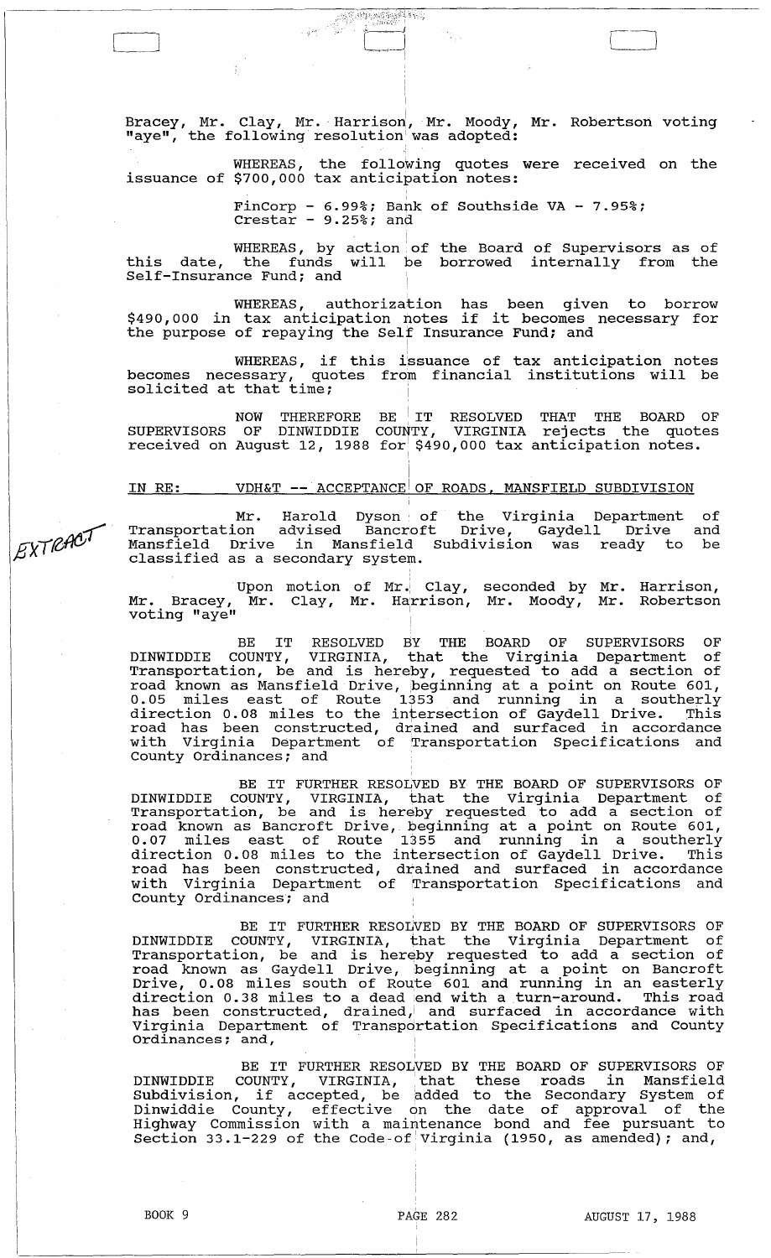Bracey, Mr. Clay, Mr. Harrison, Mr. Moody, Mr. Robertson voting "aye", the following resolution was adopted:

::":,1 :: :~':~J',~ ?'.~::)~:7;:~·~' ";~ ~ .. -~

 $\leftarrow$ 

WHEREAS, the following quotes were received on the issuance of \$700,000 tax anticipation notes:

i.

FinCorp - 6.99%; Bank of Southside VA - 7.95%;  $\text{Crestar}$  -  $9.25\%$ ; and

WHEREAS, by action of this date, the funds will be Self-Insurance Fund; and the Board of Supervisors as of borrowed internally from the

WHEREAS, authorization has been given to borrow \$490,000 in tax anticipation notes if it becomes necessary for the purpose of repaying the Self Insurance Fund; and

WHEREAS, if this i'ssuance of tax anticipation notes becomes necessary, quotes from financial institutions will be  $s$  dues  $s$  and  $s$  of  $s$  of  $s$  and  $s$  at that time;

NOW THEREFORE BE IT RESOLVED THAT THE BOARD OF SUPERVISORS OF DINWIDDIE COUNTY, VIRGINIA rejects the quotes received on August 12, 1988 for \$490,000 tax anticipation notes.

#### IN RE: VDH&T **--** ACCEPTANCE OF ROADS, MANSFIELD SUBDIVISION

Mr. Harold Dyson of the Virginia Department Transportation advised Bancroft Drive, Gaydell Drive Mansfield Drive in Mansfield Subdivision was ready to be classified as a secondary system. of and

Upon motion of Mr. Mr. Bracey, Mr. Clay, voting "aye" of Mr.  $\left|$  Clay,  $Mr.$  Harrison, seconded by Mr. Mr. Moody, Mr. Harrison, Robertson

BE IT RESOLVED BY THE BOARD OF SUPERVISORS OF DINWIDDIE COUNTY, VIRGINIA, that the Virginia Department of Transportation, be and is hereby, requested to add a section of road known as Mansfield Drive, beginning at a point on Route 601, 0.05 miles east of Route 1353 and running in a southerly direction 0.08 miles to the intersection of Gaydell Drive. This road has been constructed, drained and surfaced in accordance with Virginia Department of Transportation Specifications and County Ordinances; and '

BE IT FURTHER RESOLVED BY THE BOARD OF SUPERVISORS OF DINWIDDIE COUNTY, VIRGINIA, that the Virginia Department of Transportation, be and is hereby requested to add a section of road known as Bancroft Drive, beginning at a point on Route 601, 0.07 miles east of Route 1355 and running in a southerly direction 0.08 miles to the intersection of Gaydell Drive. This arroccron ovec mines to the inscreeding or eaglest since into with Virginia Department of Transportation Specifications and County Ordinances; and

, BE IT FURTHER RESOLVED BY THE BOARD OF SUPERVISORS OF DINWIDDIE COUNTY, VIRGINIA, that the Virginia Department of DINWIDDIE COONIT, VIRGINIA, CHAC CHE VIIGINIA Department OI<br>Transportation, be and is hereby requested to add a section of road known as Gaydell Drive, beginning at a point on Bancroft Drive, 0.08 miles south of Route 601 and running in an easterly direction 0.38 miles to a dead end with a turn-around. This road has been constructed, drained, and surfaced in accordance with Virginia Department of Transpdrtation Specifications and County virginia beparement of framepos

I BE IT FURTHER RESOLVED BY THE BOARD OF SUPERVISORS OF DINWIDDIE COUNTY, VIRGINIA, • that these roads in Mansfield DINWIDDIE COONTY, VIRGINIA, that these roads in Mansileid<br>Subdivision, if accepted, be added to the Secondary System of Dinwiddie County, effective on the date of approval of the Binwiddie Codney, Cricocive on the date of approval of the Section 33.1-229 of the Code-of Virginia (1950, as amended); and,

EXTRACT

 $\Gamma$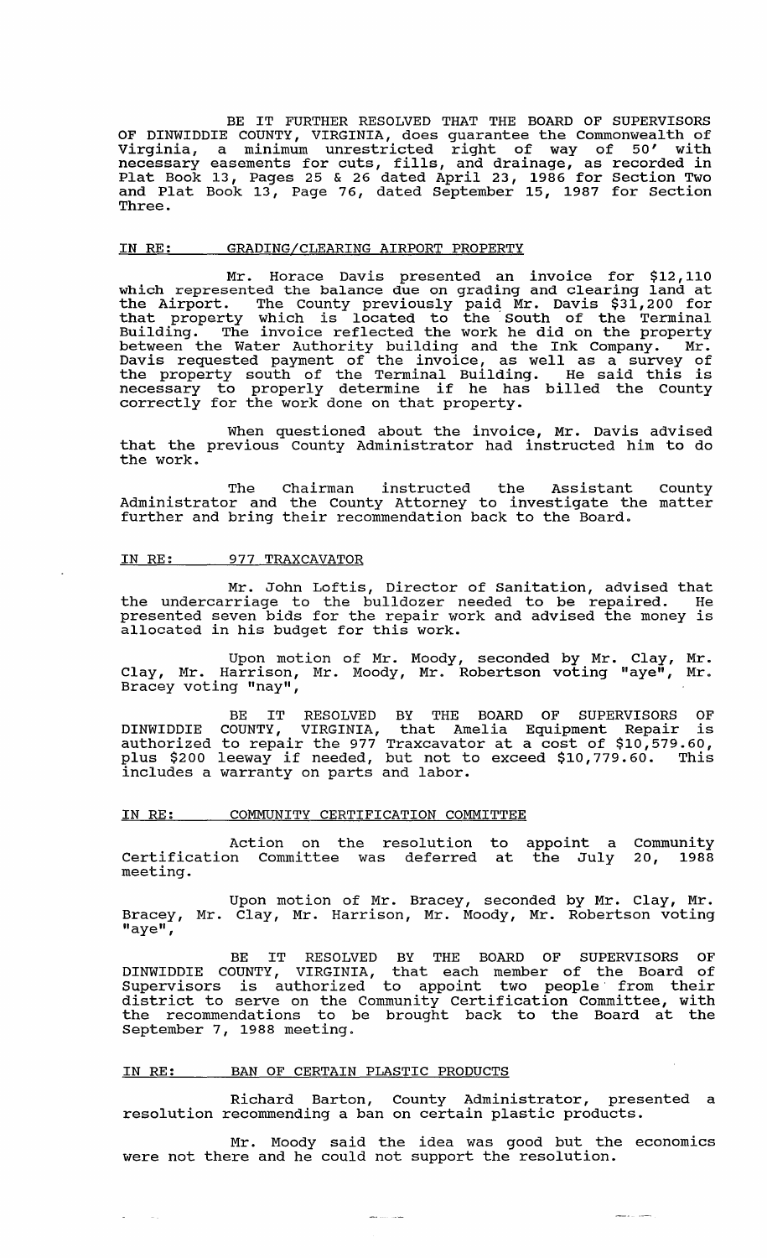BE IT FURTHER RESOLVED THAT THE BOARD OF SUPERVISORS OF DINWIDDIE COUNTY, VIRGINIA, does guarantee the Commonwealth of Virginia, a minimum unrestricted right of way of 50' with necessary easements for cuts, fills, and drainage, as recorded in Plat Book 13, Pages 25 & 26 dated April 23, 1986 for section Two and Plat Book 13, Page 76, dated September 15, 1987 for section Three.

#### IN RE: GRADING/CLEARING AIRPORT PROPERTY

Mr. Horace Davis presented an invoice for \$12,110 which represented the balance due on grading and clearing land at the Airport. The County previously paid Mr. Davis \$31,200 for that property which is located to the South of the Terminal Building. The invoice reflected the work he did on the property between the Water Authority building and the Ink Company. Mr. Davis requested payment of the invoice, as well as a survey of bavis requested payment of the invoice, as well as a survey of the property south of the Terminal Building. He said this is necessary to properly determine if he has billed the County correctly for the work done on that property.

When questioned about the invoice, Mr. Davis advised that the previous county Administrator had instructed him to do the work.

The Chairman instructed the Assistant county Administrator and the County Attorney to investigate the matter further and bring their recommendation back to the Board.

#### IN RE: 977 TRAXCAVATOR

Mr. John Loftis, Director of Sanitation, advised that the undercarriage to the bulldozer needed to be repaired. He presented seven bids for the repair work and advised the money is allocated in his budget for this work.

Upon motion of Mr. Moody, seconded by Mr. Clay, Mr. Clay, Mr. Harrison, Mr. Moody, Mr. Robertson voting "aye", Mr. Bracey voting "nay",

BE IT RESOLVED BY THE BOARD OF SUPERVISORS OF DINWIDDIE COUNTY, VIRGINIA, that Amelia Equipment Repair is authorized to repair the 977 Traxcavator at a cost of \$10,579.60, plus \$200 leeway if needed, but not to exceed \$10,779.60. This includes a warranty on parts and labor.

#### IN RE: COMMUNITY CERTIFICATION COMMITTEE

Action on the resolution to appoint a Community certification Committee was deferred at the July meeting. 20, 1988

Upon motion of Mr. Bracey, seconded by Mr. Clay, Mr. Bracey, Mr. Clay, Mr. Harrison, Mr. Moody, Mr. Robertson voting "aye",

BE IT RESOLVED BY THE BOARD OF SUPERVISORS OF DINWIDDIE COUNTY, VIRGINIA, that each member of the Board of Supervisors is authorized to appoint two people' from their district to serve on the Community Certification Committee, with district to serve on the community certification committee, with September 7, 1988 meeting.

### IN RE: BAN OF CERTAIN PLASTIC PRODUCTS

 $\omega$  .

 $\sim 10$ 

Richard Barton, County Administrator, presented a resolution recommending a ban on certain plastic products.

Mr. Moody said the idea was good but the economics were not there and he could not support the resolution.

سياسي المناسب

مدادي ومستر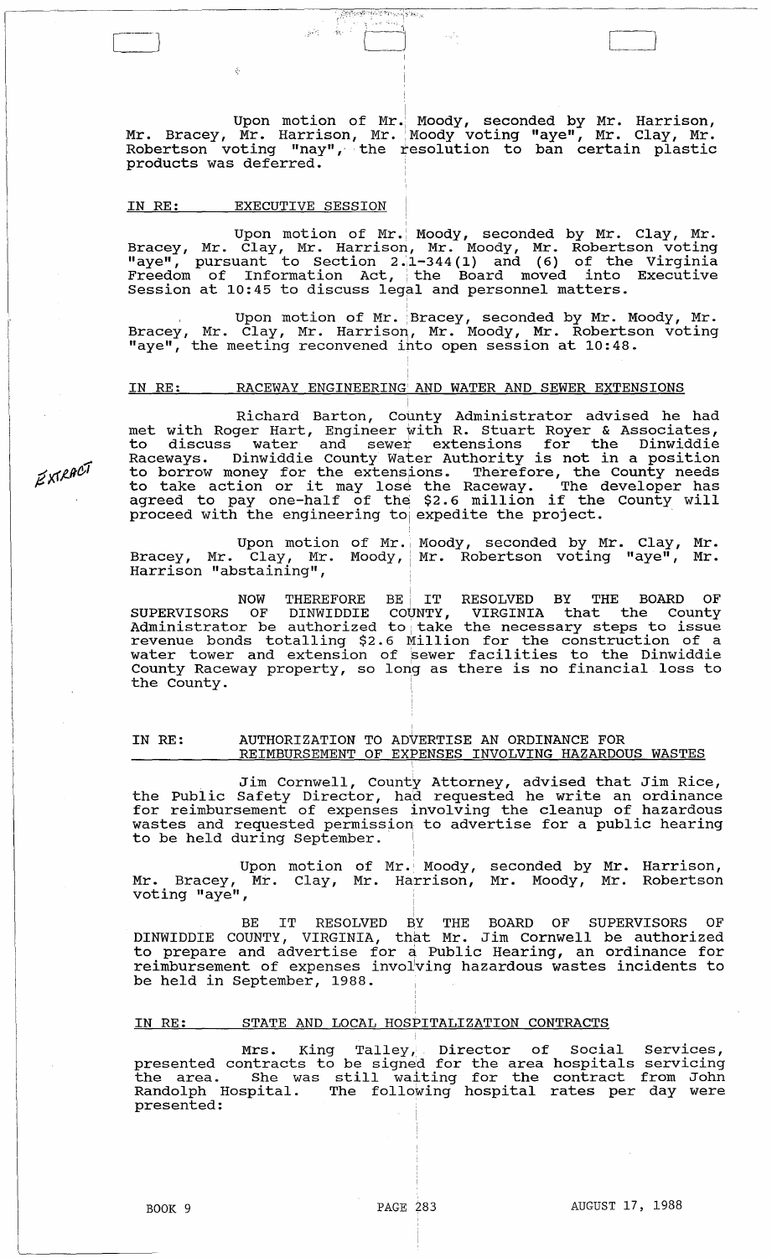Upon motion of Mr. Moody, seconded by Mr. Harrison, Mr. Bracey, Mr. Harrison, Mr. Moody voting "aye", Mr. Clay, Mr. Robertson voting "nay",' the resolution to ban certain plastic products was deferred.

[ I } I . 1

 $\frac{1}{\sqrt{2}}\frac{1}{\sqrt{2}}\frac{1}{\sqrt{2}}\frac{1}{\sqrt{2}}\frac{1}{\sqrt{2}}\frac{1}{\sqrt{2}}\frac{1}{\sqrt{2}}\frac{1}{\sqrt{2}}\frac{1}{\sqrt{2}}\frac{1}{\sqrt{2}}\frac{1}{\sqrt{2}}\frac{1}{\sqrt{2}}\frac{1}{\sqrt{2}}\frac{1}{\sqrt{2}}\frac{1}{\sqrt{2}}\frac{1}{\sqrt{2}}\frac{1}{\sqrt{2}}\frac{1}{\sqrt{2}}\frac{1}{\sqrt{2}}\frac{1}{\sqrt{2}}\frac{1}{\sqrt{2}}\frac{1}{\sqrt{2}}$  $\zeta(\omega)$  .  $\widetilde{\zeta}^{\lambda}_{K}$  ,  $\zeta^{\lambda}_{\lambda}$ 

### IN RE: EXECUTIVE SESSION

 $\xi$ 

Upon motion of Mr. Moody, seconded by Mr. Clay, Mr. Bracey, Mr. Clay, Mr. Harrison, Mr. Moody, Mr. Robertson voting "aye", pursuant to Section 2.1-344(1) and (6) of the Virginia Freedom of Information Act, the Board moved into Executive Session at 10:45 to discuss legal and personnel matters.

Upon motion of Mr. Bracey, seconded by Mr. Moody, Mr. Bracey, Mr. Clay, Mr. Harrison, Mr. Moody, Mr. Robertson voting may provide the meeting reconvened into open session at 10:48.

#### IN RE: RACEWAY ENGINEERING'AND WATER AND SEWER EXTENSIONS

i Richard Barton, County Administrator advised he had met with Roger Hart, Engineer with R. Stuart Royer & Associates, to discuss water and *sewei* extensions for the Dinwiddie Raceways. Dinwiddie County Water Authority is not in a position to borrow money for the extensions. Therefore, the County needs<br>to take action or it may lose the Raceway. The developer has agreed to pay one-half of the \$2.6 million if the County will agreed with the engineering to expedite the project.

Upon motion of Mr. Bracey, Mr. Clay, Mr. Moody, Harrison "abstaining", Moody, seconded by Mr. Clay, Mr. Mr. Robertson voting "aye", Mr.

NOW THEREFORE BE IT RESOLVED BY THE BOARD OF SUPERVISORS OF DINWIDDIE COUNTY, VIRGINIA that the County Bordivisors of binnippin country vinctiming that the country revenue bonds totalling \$2.6 Million for the construction of a water tower and extension of 'sewer facilities to the Dinwiddie water tower and extension or sewer racificies to the Dinwiddle<br>County Raceway property, so long as there is no financial loss to  $\frac{1}{2}$   $\frac{1}{2}$   $\frac{1}{2}$   $\frac{1}{2}$   $\frac{1}{2}$   $\frac{1}{2}$   $\frac{1}{2}$   $\frac{1}{2}$   $\frac{1}{2}$   $\frac{1}{2}$   $\frac{1}{2}$   $\frac{1}{2}$   $\frac{1}{2}$   $\frac{1}{2}$   $\frac{1}{2}$   $\frac{1}{2}$   $\frac{1}{2}$   $\frac{1}{2}$   $\frac{1}{2}$   $\frac{1}{2}$   $\frac{1}{2}$   $\frac{1}{2}$ 

#### IN RE: I AUTHORIZATION TO ADVERTISE AN ORDINANCE FOR REIMBURSEMENT OF EXPENSES INVOLVING HAZARDOUS WASTES

. Jim Cornwell, County Attorney, advised that Jim Rice, the Public Safety Director, had requested he write an ordinance for reimbursement of expenses involving the cleanup of hazardous wastes and requested permission to advertise for a public hearing to be held during September.

Upon motion of Mr. Mr. Bracey, Mr. Clay, Mr. voting "aye",  $\texttt{Mr.}$  Moody, seconded by  $\texttt{Mr.}$  Harrison, Harrison, Mr. Moody, Mr. Robertson

BE IT RESOLVED BY THE BOARD OF SUPERVISORS OF DINWIDDIE COUNTY, VIRGINIA, that Mr. Jim Cornwell be authorized to prepare and advertise for a Public Hearing, an ordinance for reimbursement of expenses invol'ving hazardous wastes incidents to be held in September, 1988.

#### IN RE: STATE AND LOCAL HOSPITALIZATION CONTRACTS

Mrs. King Talley, Director of Social Services, presented contracts to be signed for the area hospitals servicing presented contracts to be signed for the area nospitals servicing<br>the area. She was still waiting for the contract from John the area. She was still waiting for the contract from John<br>Randolph Hospital. The following hospital rates per day were presented:

EXTRACT